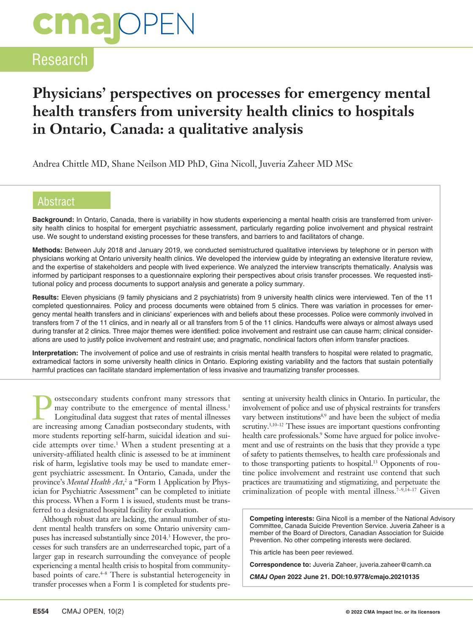# **cmalOPEN**

## Research

## **Physicians' perspectives on processes for emergency mental health transfers from university health clinics to hospitals in Ontario, Canada: a qualitative analysis**

Andrea Chittle MD, Shane Neilson MD PhD, Gina Nicoll, Juveria Zaheer MD MSc

#### **Abstract**

**Background:** In Ontario, Canada, there is variability in how students experiencing a mental health crisis are transferred from university health clinics to hospital for emergent psychiatric assessment, particularly regarding police involvement and physical restraint use. We sought to understand existing processes for these transfers, and barriers to and facilitators of change.

**Methods:** Between July 2018 and January 2019, we conducted semistructured qualitative interviews by telephone or in person with physicians working at Ontario university health clinics. We developed the interview guide by integrating an extensive literature review, and the expertise of stakeholders and people with lived experience. We analyzed the interview transcripts thematically. Analysis was informed by participant responses to a questionnaire exploring their perspectives about crisis transfer processes. We requested institutional policy and process documents to support analysis and generate a policy summary.

**Results:** Eleven physicians (9 family physicians and 2 psychiatrists) from 9 university health clinics were interviewed. Ten of the 11 completed questionnaires. Policy and process documents were obtained from 5 clinics. There was variation in processes for emergency mental health transfers and in clinicians' experiences with and beliefs about these processes. Police were commonly involved in transfers from 7 of the 11 clinics, and in nearly all or all transfers from 5 of the 11 clinics. Handcuffs were always or almost always used during transfer at 2 clinics. Three major themes were identified: police involvement and restraint use can cause harm; clinical considerations are used to justify police involvement and restraint use; and pragmatic, nonclinical factors often inform transfer practices.

**Interpretation:** The involvement of police and use of restraints in crisis mental health transfers to hospital were related to pragmatic, extramedical factors in some university health clinics in Ontario. Exploring existing variability and the factors that sustain potentially harmful practices can facilitate standard implementation of less invasive and traumatizing transfer processes.

**Postsecondary students confront many stressors that** may contribute to the emergence of mental illnesses.<br>
Longitudinal data suggest that rates of mental illnesses may contribute to the emergence of mental illness.<sup>1</sup> are increasing among Canadian postsecondary students, with more students reporting self-harm, suicidal ideation and suicide attempts over time.<sup>1</sup> When a student presenting at a university-affiliated health clinic is assessed to be at imminent risk of harm, legislative tools may be used to mandate emergent psychiatric assessment. In Ontario, Canada, under the province's Mental Health Act,<sup>2</sup> a "Form 1 Application by Physician for Psychiatric Assessment" can be completed to initiate this process. When a Form 1 is issued, students must be transferred to a designated hospital facility for evaluation.

Although robust data are lacking, the annual number of student mental health transfers on some Ontario university campuses has increased substantially since 2014.<sup>3</sup> However, the processes for such transfers are an underresearched topic, part of a larger gap in research surrounding the conveyance of people experiencing a mental health crisis to hospital from communitybased points of care.<sup>4-8</sup> There is substantial heterogeneity in transfer processes when a Form 1 is completed for students presenting at university health clinics in Ontario. In particular, the involvement of police and use of physical restraints for transfers vary between institutions<sup>8,9</sup> and have been the subject of media scrutiny.<sup>3,10–12</sup> These issues are important questions confronting health care professionals.<sup>9</sup> Some have argued for police involvement and use of restraints on the basis that they provide a type of safety to patients themselves, to health care professionals and to those transporting patients to hospital.13 Opponents of routine police involvement and restraint use contend that such practices are traumatizing and stigmatizing, and perpetuate the criminalization of people with mental illness.<sup>7-9,14-17</sup> Given

**Competing interests:** Gina Nicoll is a member of the National Advisory Committee, Canada Suicide Prevention Service. Juveria Zaheer is a member of the Board of Directors, Canadian Association for Suicide Prevention. No other competing interests were declared.

This article has been peer reviewed.

**Correspondence to:** Juveria Zaheer, juveria.zaheer@camh.ca

*CMAJ Open* **2022 June 21. DOI:10.9778/cmajo.20210135**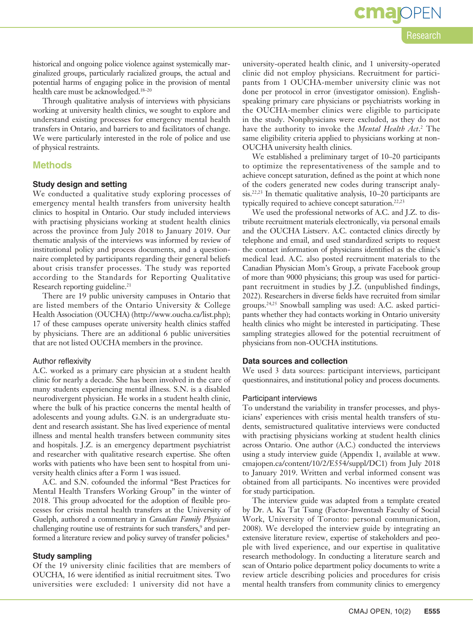Research

**cmal**OF

typically required to achieve concept saturation.<sup>22,23</sup> We used the professional networks of A.C. and J.Z. to distribute recruitment materials electronically, via personal emails and the OUCHA Listserv. A.C. contacted clinics directly by telephone and email, and used standardized scripts to request the contact information of physicians identified as the clinic's medical lead. A.C. also posted recruitment materials to the Canadian Physician Mom's Group, a private Facebook group of more than 9000 physicians; this group was used for participant recruitment in studies by J.Z. (unpublished findings, 2022). Researchers in diverse fields have recruited from similar groups.24,25 Snowball sampling was used: A.C. asked participants whether they had contacts working in Ontario university health clinics who might be interested in participating. These sampling strategies allowed for the potential recruitment of physicians from non-OUCHA institutions.

university-operated health clinic, and 1 university-operated clinic did not employ physicians. Recruitment for participants from 1 OUCHA-member university clinic was not done per protocol in error (investigator omission). Englishspeaking primary care physicians or psychiatrists working in the OUCHA-member clinics were eligible to participate in the study. Nonphysicians were excluded, as they do not have the authority to invoke the *Mental Health Act*. 2 The same eligibility criteria applied to physicians working at non-

We established a preliminary target of 10–20 participants to optimize the representativeness of the sample and to achieve concept saturation, defined as the point at which none

#### **Data sources and collection**

OUCHA university health clinics.

We used 3 data sources: participant interviews, participant questionnaires, and institutional policy and process documents.

#### Participant interviews

To understand the variability in transfer processes, and physicians' experiences with crisis mental health transfers of students, semistructured qualitative interviews were conducted with practising physicians working at student health clinics across Ontario. One author (A.C.) conducted the interviews using a study interview guide (Appendix 1, available at www. cmajopen.ca/content/10/2/E554/suppl/DC1) from July 2018 to January 2019. Written and verbal informed consent was obtained from all participants. No incentives were provided for study participation.

The interview guide was adapted from a template created by Dr. A. Ka Tat Tsang (Factor-Inwentash Faculty of Social Work, University of Toronto: personal communication, 2008). We developed the interview guide by integrating an extensive literature review, expertise of stakeholders and people with lived experience, and our expertise in qualitative research methodology. In conducting a literature search and scan of Ontario police department policy documents to write a review article describing policies and procedures for crisis mental health transfers from community clinics to emergency

historical and ongoing police violence against systemically marginalized groups, particularly racialized groups, the actual and potential harms of engaging police in the provision of mental health care must be acknowledged.<sup>18-20</sup>

Through qualitative analysis of interviews with physicians working at university health clinics, we sought to explore and understand existing processes for emergency mental health transfers in Ontario, and barriers to and facilitators of change. We were particularly interested in the role of police and use of physical restraints.

#### **Methods**

#### **Study design and setting**

We conducted a qualitative study exploring processes of emergency mental health transfers from university health clinics to hospital in Ontario. Our study included interviews with practising physicians working at student health clinics across the province from July 2018 to January 2019. Our thematic analysis of the interviews was informed by review of institutional policy and process documents, and a questionnaire completed by participants regarding their general beliefs about crisis transfer processes. The study was reported according to the Standards for Reporting Qualitative Research reporting guideline.<sup>21</sup>

There are 19 public university campuses in Ontario that are listed members of the Ontario University & College Health Association (OUCHA) (http://www.oucha.ca/list.php); 17 of these campuses operate university health clinics staffed by physicians. There are an additional 6 public universities that are not listed OUCHA members in the province.

#### Author reflexivity

A.C. worked as a primary care physician at a student health clinic for nearly a decade. She has been involved in the care of many students experiencing mental illness. S.N. is a disabled neurodivergent physician. He works in a student health clinic, where the bulk of his practice concerns the mental health of adolescents and young adults. G.N. is an undergraduate student and research assistant. She has lived experience of mental illness and mental health transfers between community sites and hospitals. J.Z. is an emergency department psychiatrist and researcher with qualitative research expertise. She often works with patients who have been sent to hospital from university health clinics after a Form 1 was issued.

A.C. and S.N. cofounded the informal "Best Practices for Mental Health Transfers Working Group" in the winter of 2018. This group advocated for the adoption of flexible processes for crisis mental health transfers at the University of Guelph, authored a commentary in *Canadian Family Physician* challenging routine use of restraints for such transfers,<sup>9</sup> and performed a literature review and policy survey of transfer policies.<sup>8</sup>

#### **Study sampling**

Of the 19 university clinic facilities that are members of OUCHA, 16 were identified as initial recruitment sites. Two universities were excluded: 1 university did not have a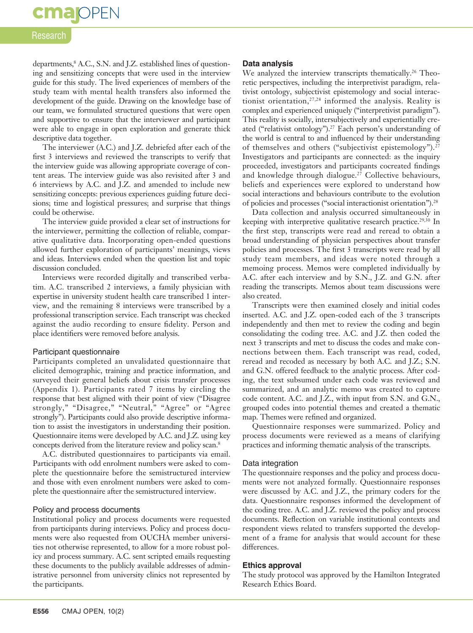## **cma** OPEN

#### Research

departments, <sup>8</sup> A.C., S.N. and J.Z. established lines of questioning and sensitizing concepts that were used in the interview guide for this study. The lived experiences of members of the study team with mental health transfers also informed the development of the guide. Drawing on the knowledge base of our team, we formulated structured questions that were open and supportive to ensure that the interviewer and participant were able to engage in open exploration and generate thick descriptive data together.

The interviewer (A.C.) and J.Z. debriefed after each of the first 3 interviews and reviewed the transcripts to verify that the interview guide was allowing appropriate coverage of content areas. The interview guide was also revisited after 3 and 6 interviews by A.C. and J.Z. and amended to include new sensitizing concepts: previous experiences guiding future decisions; time and logistical pressures; and surprise that things could be otherwise.

The interview guide provided a clear set of instructions for the interviewer, permitting the collection of reliable, comparative qualitative data. Incorporating open-ended questions allowed further exploration of participants' meanings, views and ideas. Interviews ended when the question list and topic discussion concluded.

Interviews were recorded digitally and transcribed verbatim. A.C. transcribed 2 interviews, a family physician with expertise in university student health care transcribed 1 interview, and the remaining 8 interviews were transcribed by a professional transcription service. Each transcript was checked against the audio recording to ensure fidelity. Person and place identifiers were removed before analysis.

#### Participant questionnaire

Participants completed an unvalidated questionnaire that elicited demographic, training and practice information, and surveyed their general beliefs about crisis transfer processes (Appendix 1). Participants rated 7 items by circling the response that best aligned with their point of view ("Disagree strongly," "Disagree," "Neutral," "Agree" or "Agree strongly"). Participants could also provide descriptive information to assist the investigators in understanding their position. Questionnaire items were developed by A.C. and J.Z. using key concepts derived from the literature review and policy scan.8

A.C. distributed questionnaires to participants via email. Participants with odd enrolment numbers were asked to complete the questionnaire before the semistructured interview and those with even enrolment numbers were asked to complete the questionnaire after the semistructured interview.

#### Policy and process documents

Institutional policy and process documents were requested from participants during interviews. Policy and process documents were also requested from OUCHA member universities not otherwise represented, to allow for a more robust policy and process summary. A.C. sent scripted emails requesting these documents to the publicly available addresses of administrative personnel from university clinics not represented by the participants.

#### **Data analysis**

We analyzed the interview transcripts thematically.<sup>26</sup> Theoretic perspectives, including the interpretivist paradigm, relativist ontology, subjectivist epistemology and social interactionist orientation,27,28 informed the analysis. Reality is complex and experienced uniquely ("interpretivist paradigm"). This reality is socially, intersubjectively and experientially created ("relativist ontology").<sup>27</sup> Each person's understanding of the world is central to and influenced by their understanding of themselves and others ("subjectivist epistemology").<sup>27</sup> Investigators and participants are connected: as the inquiry proceeded, investigators and participants cocreated findings and knowledge through dialogue.<sup>27</sup> Collective behaviours, beliefs and experiences were explored to understand how social interactions and behaviours contribute to the evolution of policies and processes ("social interactionist orientation").28

Data collection and analysis occurred simultaneously in keeping with interpretive qualitative research practice.<sup>29,30</sup> In the first step, transcripts were read and reread to obtain a broad understanding of physician perspectives about transfer policies and processes. The first 3 transcripts were read by all study team members, and ideas were noted through a memoing process. Memos were completed individually by A.C. after each interview and by S.N., J.Z. and G.N. after reading the transcripts. Memos about team discussions were also created.

Transcripts were then examined closely and initial codes inserted. A.C. and J.Z. open-coded each of the 3 transcripts independently and then met to review the coding and begin consolidating the coding tree. A.C. and J.Z. then coded the next 3 transcripts and met to discuss the codes and make connections between them. Each transcript was read, coded, reread and recoded as necessary by both A.C. and J.Z.; S.N. and G.N. offered feedback to the analytic process. After coding, the text subsumed under each code was reviewed and summarized, and an analytic memo was created to capture code content. A.C. and J.Z., with input from S.N. and G.N., grouped codes into potential themes and created a thematic map. Themes were refined and organized.

Questionnaire responses were summarized. Policy and process documents were reviewed as a means of clarifying practices and informing thematic analysis of the transcripts.

#### Data integration

The questionnaire responses and the policy and process documents were not analyzed formally. Questionnaire responses were discussed by A.C. and J.Z., the primary coders for the data. Questionnaire responses informed the development of the coding tree. A.C. and J.Z. reviewed the policy and process documents. Reflection on variable institutional contexts and respondent views related to transfers supported the development of a frame for analysis that would account for these differences.

#### **Ethics approval**

The study protocol was approved by the Hamilton Integrated Research Ethics Board.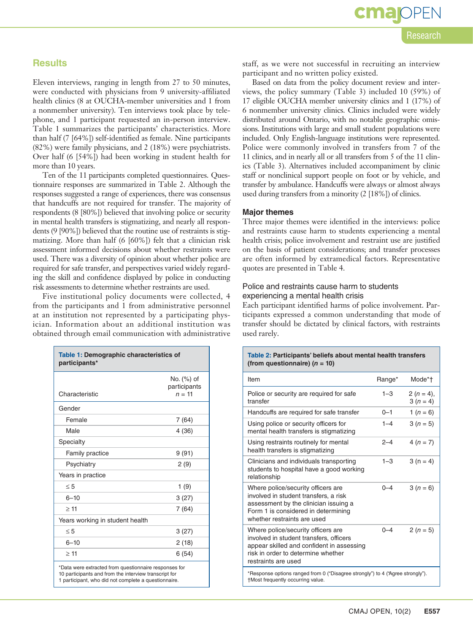## cmar Research

#### **Results**

Eleven interviews, ranging in length from 27 to 50 minutes, were conducted with physicians from 9 university-affiliated health clinics (8 at OUCHA-member universities and 1 from a nonmember university). Ten interviews took place by telephone, and 1 participant requested an in-person interview. Table 1 summarizes the participants' characteristics. More than half (7 [64%]) self-identified as female. Nine participants (82%) were family physicians, and 2 (18%) were psychiatrists. Over half (6 [54%]) had been working in student health for more than 10 years.

Ten of the 11 participants completed questionnaires. Questionnaire responses are summarized in Table 2. Although the responses suggested a range of experiences, there was consensus that handcuffs are not required for transfer. The majority of respondents (8 [80%]) believed that involving police or security in mental health transfers is stigmatizing, and nearly all respondents (9 [90%]) believed that the routine use of restraints is stigmatizing. More than half (6 [60%]) felt that a clinician risk assessment informed decisions about whether restraints were used. There was a diversity of opinion about whether police are required for safe transfer, and perspectives varied widely regarding the skill and confidence displayed by police in conducting risk assessments to determine whether restraints are used.

Five institutional policy documents were collected, 4 from the participants and 1 from administrative personnel at an institution not represented by a participating physician. Information about an additional institution was obtained through email communication with administrative

| Table 1: Demographic characteristics of<br>participants* |                                        |  |
|----------------------------------------------------------|----------------------------------------|--|
| Characteristic                                           | No. (%) of<br>participants<br>$n = 11$ |  |
| Gender                                                   |                                        |  |
| Female                                                   | 7(64)                                  |  |
| Male                                                     | 4 (36)                                 |  |
| Specialty                                                |                                        |  |
| Family practice                                          | 9(91)                                  |  |
| Psychiatry                                               | 2(9)                                   |  |
| Years in practice                                        |                                        |  |
| $\leq 5$                                                 | 1(9)                                   |  |
| $6 - 10$                                                 | 3(27)                                  |  |
| $\geq$ 11                                                | 7(64)                                  |  |
| Years working in student health                          |                                        |  |
| $\leq 5$                                                 | 3(27)                                  |  |
| $6 - 10$                                                 | 2(18)                                  |  |
| $\geq 11$                                                | 6(54)                                  |  |

10 participants and from the interview transcript for 1 participant, who did not complete a questionnaire.

staff, as we were not successful in recruiting an interview participant and no written policy existed.

Based on data from the policy document review and interviews, the policy summary (Table 3) included 10 (59%) of 17 eligible OUCHA member university clinics and 1 (17%) of 6 nonmember university clinics. Clinics included were widely distributed around Ontario, with no notable geographic omissions. Institutions with large and small student populations were included. Only English-language institutions were represented. Police were commonly involved in transfers from 7 of the 11 clinics, and in nearly all or all transfers from 5 of the 11 clinics (Table 3). Alternatives included accompaniment by clinic staff or nonclinical support people on foot or by vehicle, and transfer by ambulance. Handcuffs were always or almost always used during transfers from a minority (2 [18%]) of clinics.

#### **Major themes**

Three major themes were identified in the interviews: police and restraints cause harm to students experiencing a mental health crisis; police involvement and restraint use are justified on the basis of patient considerations; and transfer processes are often informed by extramedical factors. Representative quotes are presented in Table 4.

#### Police and restraints cause harm to students experiencing a mental health crisis

Each participant identified harms of police involvement. Participants expressed a common understanding that mode of transfer should be dictated by clinical factors, with restraints used rarely.

#### **Table 2: Participants' beliefs about mental health transfers (from questionnaire) (***n* **= 10)**

| Item                                                                                                                                                                                       | Range*  | Mode*†                   |  |
|--------------------------------------------------------------------------------------------------------------------------------------------------------------------------------------------|---------|--------------------------|--|
| Police or security are required for safe<br>transfer                                                                                                                                       | $1 - 3$ | $2(n = 4)$ ,<br>$3(n=4)$ |  |
| Handcuffs are required for safe transfer                                                                                                                                                   | $0 - 1$ | 1 ( $n = 6$ )            |  |
| Using police or security officers for<br>mental health transfers is stigmatizing                                                                                                           | $1 - 4$ | $3(n = 5)$               |  |
| Using restraints routinely for mental<br>health transfers is stigmatizing                                                                                                                  | $2 - 4$ | $4(n=7)$                 |  |
| Clinicians and individuals transporting<br>students to hospital have a good working<br>relationship                                                                                        | $1 - 3$ | $3(n = 4)$               |  |
| Where police/security officers are<br>involved in student transfers, a risk<br>assessment by the clinician issuing a<br>Form 1 is considered in determining<br>whether restraints are used | $0 - 4$ | $3(n = 6)$               |  |
| Where police/security officers are<br>involved in student transfers, officers<br>appear skilled and confident in assessing<br>risk in order to determine whether<br>restraints are used    | $0 - 4$ | $2(n = 5)$               |  |
| *Response options ranged from 0 ("Disagree strongly") to 4 ("Agree strongly").<br>†Most frequently occurring value.                                                                        |         |                          |  |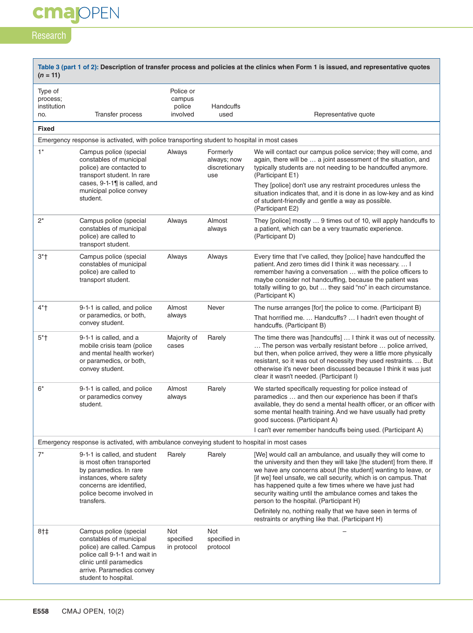## **cmajOPEN**

## Research

 $\Box$ 

| Table 3 (part 1 of 2): Description of transfer process and policies at the clinics when Form 1 is issued, and representative quotes<br>$(n = 11)$ |                                                                                                                                                                                                  |                                           |                                                 |                                                                                                                                                                                                                                                                                                                                                                                                                                        |
|---------------------------------------------------------------------------------------------------------------------------------------------------|--------------------------------------------------------------------------------------------------------------------------------------------------------------------------------------------------|-------------------------------------------|-------------------------------------------------|----------------------------------------------------------------------------------------------------------------------------------------------------------------------------------------------------------------------------------------------------------------------------------------------------------------------------------------------------------------------------------------------------------------------------------------|
| Type of<br>process;<br>institution<br>no.                                                                                                         | Transfer process                                                                                                                                                                                 | Police or<br>campus<br>police<br>involved | Handcuffs<br>used                               | Representative quote                                                                                                                                                                                                                                                                                                                                                                                                                   |
| <b>Fixed</b>                                                                                                                                      |                                                                                                                                                                                                  |                                           |                                                 |                                                                                                                                                                                                                                                                                                                                                                                                                                        |
|                                                                                                                                                   | Emergency response is activated, with police transporting student to hospital in most cases                                                                                                      |                                           |                                                 |                                                                                                                                                                                                                                                                                                                                                                                                                                        |
| $1^*$                                                                                                                                             | Campus police (special<br>constables of municipal<br>police) are contacted to<br>transport student. In rare                                                                                      | Always                                    | Formerly<br>always; now<br>discretionary<br>use | We will contact our campus police service; they will come, and<br>again, there will be  a joint assessment of the situation, and<br>typically students are not needing to be handcuffed anymore.<br>(Participant E1)                                                                                                                                                                                                                   |
|                                                                                                                                                   | cases, $9-1-1$ ] is called, and<br>municipal police convey<br>student.                                                                                                                           |                                           |                                                 | They [police] don't use any restraint procedures unless the<br>situation indicates that, and it is done in as low-key and as kind<br>of student-friendly and gentle a way as possible.<br>(Participant E2)                                                                                                                                                                                                                             |
| $2^*$                                                                                                                                             | Campus police (special<br>constables of municipal<br>police) are called to<br>transport student.                                                                                                 | Always                                    | Almost<br>always                                | They [police] mostly  9 times out of 10, will apply handcuffs to<br>a patient, which can be a very traumatic experience.<br>(Participant D)                                                                                                                                                                                                                                                                                            |
| $3*$ †                                                                                                                                            | Campus police (special<br>constables of municipal<br>police) are called to<br>transport student.                                                                                                 | Always                                    | Always                                          | Every time that I've called, they [police] have handcuffed the<br>patient. And zero times did I think it was necessary.  I<br>remember having a conversation  with the police officers to<br>maybe consider not handcuffing, because the patient was<br>totally willing to go, but  they said "no" in each circumstance.<br>(Participant K)                                                                                            |
| $4*$ †                                                                                                                                            | 9-1-1 is called, and police<br>or paramedics, or both,<br>convey student.                                                                                                                        | Almost<br>always                          | Never                                           | The nurse arranges [for] the police to come. (Participant B)<br>That horrified me.  Handcuffs?  I hadn't even thought of<br>handcuffs. (Participant B)                                                                                                                                                                                                                                                                                 |
| $5*$ †                                                                                                                                            | 9-1-1 is called, and a<br>mobile crisis team (police<br>and mental health worker)<br>or paramedics, or both,<br>convey student.                                                                  | Majority of<br>cases                      | Rarely                                          | The time there was [handcuffs]  I think it was out of necessity.<br>The person was verbally resistant before  police arrived,<br>but then, when police arrived, they were a little more physically<br>resistant, so it was out of necessity they used restraints.  But<br>otherwise it's never been discussed because I think it was just<br>clear it wasn't needed. (Participant I)                                                   |
| $6*$                                                                                                                                              | 9-1-1 is called, and police<br>or paramedics convey<br>student.                                                                                                                                  | Almost<br>always                          | Rarely                                          | We started specifically requesting for police instead of<br>paramedics  and then our experience has been if that's<br>available, they do send a mental health officer, or an officer with<br>some mental health training. And we have usually had pretty<br>good success. (Participant A)                                                                                                                                              |
|                                                                                                                                                   |                                                                                                                                                                                                  |                                           |                                                 | I can't ever remember handcuffs being used. (Participant A)                                                                                                                                                                                                                                                                                                                                                                            |
|                                                                                                                                                   | Emergency response is activated, with ambulance conveying student to hospital in most cases                                                                                                      |                                           |                                                 |                                                                                                                                                                                                                                                                                                                                                                                                                                        |
| $7^*$                                                                                                                                             | 9-1-1 is called, and student<br>is most often transported<br>by paramedics. In rare<br>instances, where safety<br>concerns are identified,<br>police become involved in<br>transfers.            | Rarely                                    | Rarely                                          | [We] would call an ambulance, and usually they will come to<br>the university and then they will take [the student] from there. If<br>we have any concerns about [the student] wanting to leave, or<br>[if we] feel unsafe, we call security, which is on campus. That<br>has happened quite a few times where we have just had<br>security waiting until the ambulance comes and takes the<br>person to the hospital. (Participant H) |
|                                                                                                                                                   |                                                                                                                                                                                                  |                                           |                                                 | Definitely no, nothing really that we have seen in terms of<br>restraints or anything like that. (Participant H)                                                                                                                                                                                                                                                                                                                       |
| $8+1$                                                                                                                                             | Campus police (special<br>constables of municipal<br>police) are called. Campus<br>police call 9-1-1 and wait in<br>clinic until paramedics<br>arrive. Paramedics convey<br>student to hospital. | Not<br>specified<br>in protocol           | Not<br>specified in<br>protocol                 |                                                                                                                                                                                                                                                                                                                                                                                                                                        |

٦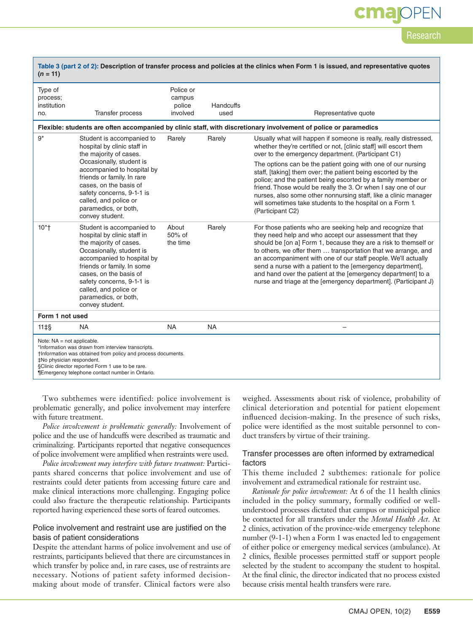## cmaj

Research

| Table 3 (part 2 of 2): Description of transfer process and policies at the clinics when Form 1 is issued, and representative quotes<br>$(n = 11)$ |                                                                                                                                                                                                                                                                                                       |                                           |                                                                                                                                                                                                                                                                                                                               |                                                                                                                                                                                                                                                                                                                                                                                                                                                                                                                            |  |
|---------------------------------------------------------------------------------------------------------------------------------------------------|-------------------------------------------------------------------------------------------------------------------------------------------------------------------------------------------------------------------------------------------------------------------------------------------------------|-------------------------------------------|-------------------------------------------------------------------------------------------------------------------------------------------------------------------------------------------------------------------------------------------------------------------------------------------------------------------------------|----------------------------------------------------------------------------------------------------------------------------------------------------------------------------------------------------------------------------------------------------------------------------------------------------------------------------------------------------------------------------------------------------------------------------------------------------------------------------------------------------------------------------|--|
| Type of<br>process:<br>institution<br>no.                                                                                                         | Transfer process                                                                                                                                                                                                                                                                                      | Police or<br>campus<br>police<br>involved | Handcuffs<br>used                                                                                                                                                                                                                                                                                                             | Representative quote                                                                                                                                                                                                                                                                                                                                                                                                                                                                                                       |  |
| Flexible: students are often accompanied by clinic staff, with discretionary involvement of police or paramedics                                  |                                                                                                                                                                                                                                                                                                       |                                           |                                                                                                                                                                                                                                                                                                                               |                                                                                                                                                                                                                                                                                                                                                                                                                                                                                                                            |  |
| $9*$                                                                                                                                              | Student is accompanied to<br>hospital by clinic staff in<br>the majority of cases.<br>Occasionally, student is                                                                                                                                                                                        | Rarely                                    | Rarely                                                                                                                                                                                                                                                                                                                        | Usually what will happen if someone is really, really distressed,<br>whether they're certified or not, [clinic staff] will escort them<br>over to the emergency department. (Participant C1)<br>The options can be the patient going with one of our nursing                                                                                                                                                                                                                                                               |  |
|                                                                                                                                                   | accompanied to hospital by<br>friends or family. In rare<br>cases, on the basis of<br>safety concerns, 9-1-1 is<br>called, and police or<br>paramedics, or both,<br>convey student.                                                                                                                   | (Participant C2)                          | staff, [taking] them over; the patient being escorted by the<br>police; and the patient being escorted by a family member or<br>friend. Those would be really the 3. Or when I say one of our<br>nurses, also some other nonnursing staff, like a clinic manager<br>will sometimes take students to the hospital on a Form 1. |                                                                                                                                                                                                                                                                                                                                                                                                                                                                                                                            |  |
| $10*$                                                                                                                                             | Student is accompanied to<br>hospital by clinic staff in<br>the majority of cases.<br>Occasionally, student is<br>accompanied to hospital by<br>friends or family. In some<br>cases, on the basis of<br>safety concerns, 9-1-1 is<br>called, and police or<br>paramedics, or both,<br>convey student. | About<br>50% of<br>the time               | Rarely                                                                                                                                                                                                                                                                                                                        | For those patients who are seeking help and recognize that<br>they need help and who accept our assessment that they<br>should be [on a] Form 1, because they are a risk to themself or<br>to others, we offer them  transportation that we arrange, and<br>an accompaniment with one of our staff people. We'll actually<br>send a nurse with a patient to the [emergency department],<br>and hand over the patient at the [emergency department] to a<br>nurse and triage at the [emergency department]. (Participant J) |  |
| Form 1 not used                                                                                                                                   |                                                                                                                                                                                                                                                                                                       |                                           |                                                                                                                                                                                                                                                                                                                               |                                                                                                                                                                                                                                                                                                                                                                                                                                                                                                                            |  |
| $11 \pm S$                                                                                                                                        | <b>NA</b>                                                                                                                                                                                                                                                                                             | <b>NA</b>                                 | <b>NA</b>                                                                                                                                                                                                                                                                                                                     |                                                                                                                                                                                                                                                                                                                                                                                                                                                                                                                            |  |
| Note: $NA = not applicable.$<br>‡No physician respondent.                                                                                         | *Information was drawn from interview transcripts.<br>†Information was obtained from policy and process documents.<br>§Clinic director reported Form 1 use to be rare.<br>¶Emergency telephone contact number in Ontario.                                                                             |                                           |                                                                                                                                                                                                                                                                                                                               |                                                                                                                                                                                                                                                                                                                                                                                                                                                                                                                            |  |

Two subthemes were identified: police involvement is problematic generally, and police involvement may interfere with future treatment.

*Police involvement is problematic generally:* Involvement of police and the use of handcuffs were described as traumatic and criminalizing. Participants reported that negative consequences of police involvement were amplified when restraints were used.

*Police involvement may interfere with future treatment:* Participants shared concerns that police involvement and use of restraints could deter patients from accessing future care and make clinical interactions more challenging. Engaging police could also fracture the therapeutic relationship. Participants reported having experienced these sorts of feared outcomes.

#### Police involvement and restraint use are justified on the basis of patient considerations

Despite the attendant harms of police involvement and use of restraints, participants believed that there are circumstances in which transfer by police and, in rare cases, use of restraints are necessary. Notions of patient safety informed decisionmaking about mode of transfer. Clinical factors were also

weighed. Assessments about risk of violence, probability of clinical deterioration and potential for patient elopement influenced decision-making. In the presence of such risks, police were identified as the most suitable personnel to conduct transfers by virtue of their training.

#### Transfer processes are often informed by extramedical factors

This theme included 2 subthemes: rationale for police involvement and extramedical rationale for restraint use.

*Rationale for police involvement:* At 6 of the 11 health clinics included in the policy summary, formally codified or wellunderstood processes dictated that campus or municipal police be contacted for all transfers under the *Mental Health Act*. At 2 clinics, activation of the province-wide emergency telephone number (9-1-1) when a Form 1 was enacted led to engagement of either police or emergency medical services (ambulance). At 2 clinics, flexible processes permitted staff or support people selected by the student to accompany the student to hospital. At the final clinic, the director indicated that no process existed because crisis mental health transfers were rare.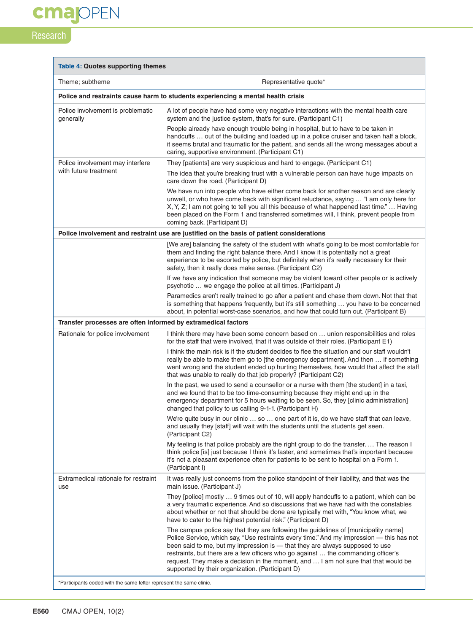**cmajOPEN** 

## Research

| Theme; subtheme                                               | Representative quote*                                                                                                                                                                                                                                                                                                                                                                                                                                                                          |  |  |
|---------------------------------------------------------------|------------------------------------------------------------------------------------------------------------------------------------------------------------------------------------------------------------------------------------------------------------------------------------------------------------------------------------------------------------------------------------------------------------------------------------------------------------------------------------------------|--|--|
|                                                               | Police and restraints cause harm to students experiencing a mental health crisis                                                                                                                                                                                                                                                                                                                                                                                                               |  |  |
| Police involvement is problematic<br>generally                | A lot of people have had some very negative interactions with the mental health care<br>system and the justice system, that's for sure. (Participant C1)<br>People already have enough trouble being in hospital, but to have to be taken in<br>handcuffs  out of the building and loaded up in a police cruiser and taken half a block,<br>it seems brutal and traumatic for the patient, and sends all the wrong messages about a<br>caring, supportive environment. (Participant C1)        |  |  |
| Police involvement may interfere<br>with future treatment     | They [patients] are very suspicious and hard to engage. (Participant C1)<br>The idea that you're breaking trust with a vulnerable person can have huge impacts on<br>care down the road. (Participant D)<br>We have run into people who have either come back for another reason and are clearly<br>unwell, or who have come back with significant reluctance, saying  "I am only here for                                                                                                     |  |  |
|                                                               | X, Y, Z; I am not going to tell you all this because of what happened last time."  Having<br>been placed on the Form 1 and transferred sometimes will, I think, prevent people from<br>coming back. (Participant D)                                                                                                                                                                                                                                                                            |  |  |
|                                                               | Police involvement and restraint use are justified on the basis of patient considerations                                                                                                                                                                                                                                                                                                                                                                                                      |  |  |
|                                                               | [We are] balancing the safety of the student with what's going to be most comfortable for<br>them and finding the right balance there. And I know it is potentially not a great<br>experience to be escorted by police, but definitely when it's really necessary for their<br>safety, then it really does make sense. (Participant C2)                                                                                                                                                        |  |  |
|                                                               | If we have any indication that someone may be violent toward other people or is actively<br>psychotic  we engage the police at all times. (Participant J)                                                                                                                                                                                                                                                                                                                                      |  |  |
|                                                               | Paramedics aren't really trained to go after a patient and chase them down. Not that that<br>is something that happens frequently, but it's still something  you have to be concerned<br>about, in potential worst-case scenarios, and how that could turn out. (Participant B)                                                                                                                                                                                                                |  |  |
| Transfer processes are often informed by extramedical factors |                                                                                                                                                                                                                                                                                                                                                                                                                                                                                                |  |  |
| Rationale for police involvement                              | I think there may have been some concern based on  union responsibilities and roles<br>for the staff that were involved, that it was outside of their roles. (Participant E1)                                                                                                                                                                                                                                                                                                                  |  |  |
|                                                               | I think the main risk is if the student decides to flee the situation and our staff wouldn't<br>really be able to make them go to [the emergency department]. And then  if something<br>went wrong and the student ended up hurting themselves, how would that affect the staff<br>that was unable to really do that job properly? (Participant C2)                                                                                                                                            |  |  |
|                                                               | In the past, we used to send a counsellor or a nurse with them [the student] in a taxi,<br>and we found that to be too time-consuming because they might end up in the<br>emergency department for 5 hours waiting to be seen. So, they [clinic administration]<br>changed that policy to us calling 9-1-1. (Participant H)                                                                                                                                                                    |  |  |
|                                                               | We're quite busy in our clinic  so  one part of it is, do we have staff that can leave,<br>and usually they [staff] will wait with the students until the students get seen.<br>(Participant C2)                                                                                                                                                                                                                                                                                               |  |  |
|                                                               | My feeling is that police probably are the right group to do the transfer The reason I<br>think police [is] just because I think it's faster, and sometimes that's important because<br>it's not a pleasant experience often for patients to be sent to hospital on a Form 1.<br>(Participant I)                                                                                                                                                                                               |  |  |
| Extramedical rationale for restraint<br>use                   | It was really just concerns from the police standpoint of their liability, and that was the<br>main issue. (Participant J)                                                                                                                                                                                                                                                                                                                                                                     |  |  |
|                                                               | They [police] mostly  9 times out of 10, will apply handcuffs to a patient, which can be<br>a very traumatic experience. And so discussions that we have had with the constables<br>about whether or not that should be done are typically met with, "You know what, we<br>have to cater to the highest potential risk." (Participant D)                                                                                                                                                       |  |  |
|                                                               | The campus police say that they are following the guidelines of [municipality name]<br>Police Service, which say, "Use restraints every time." And my impression — this has not<br>been said to me, but my impression is - that they are always supposed to use<br>restraints, but there are a few officers who go against  the commanding officer's<br>request. They make a decision in the moment, and  I am not sure that that would be<br>supported by their organization. (Participant D) |  |  |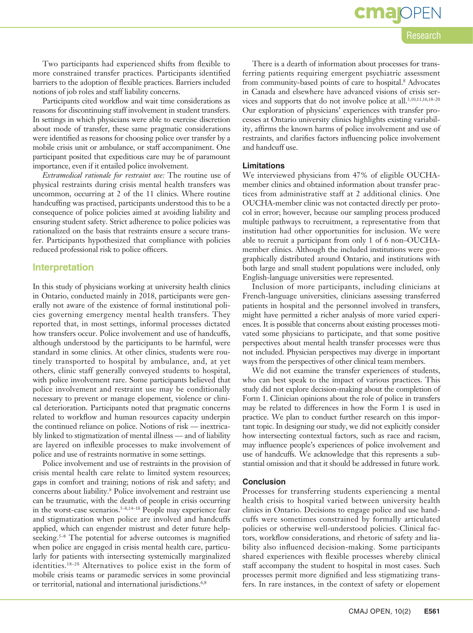**cma**IOPEN Research

Two participants had experienced shifts from flexible to more constrained transfer practices. Participants identified barriers to the adoption of flexible practices. Barriers included notions of job roles and staff liability concerns.

Participants cited workflow and wait time considerations as reasons for discontinuing staff involvement in student transfers. In settings in which physicians were able to exercise discretion about mode of transfer, these same pragmatic considerations were identified as reasons for choosing police over transfer by a mobile crisis unit or ambulance, or staff accompaniment. One participant posited that expeditious care may be of paramount importance, even if it entailed police involvement.

*Extramedical rationale for restraint use:* The routine use of physical restraints during crisis mental health transfers was uncommon, occurring at 2 of the 11 clinics. Where routine handcuffing was practised, participants understood this to be a consequence of police policies aimed at avoiding liability and ensuring student safety. Strict adherence to police policies was rationalized on the basis that restraints ensure a secure transfer. Participants hypothesized that compliance with policies reduced professional risk to police officers.

#### **Interpretation**

In this study of physicians working at university health clinics in Ontario, conducted mainly in 2018, participants were generally not aware of the existence of formal institutional policies governing emergency mental health transfers. They reported that, in most settings, informal processes dictated how transfers occur. Police involvement and use of handcuffs, although understood by the participants to be harmful, were standard in some clinics. At other clinics, students were routinely transported to hospital by ambulance, and, at yet others, clinic staff generally conveyed students to hospital, with police involvement rare. Some participants believed that police involvement and restraint use may be conditionally necessary to prevent or manage elopement, violence or clinical deterioration. Participants noted that pragmatic concerns related to workflow and human resources capacity underpin the continued reliance on police. Notions of risk — inextricably linked to stigmatization of mental illness — and of liability are layered on inflexible processes to make involvement of police and use of restraints normative in some settings.

Police involvement and use of restraints in the provision of crisis mental health care relate to limited system resources; gaps in comfort and training; notions of risk and safety; and concerns about liability.8 Police involvement and restraint use can be traumatic, with the death of people in crisis occurring in the worst-case scenarios.<sup>5–8,14–18</sup> People may experience fear and stigmatization when police are involved and handcuffs applied, which can engender mistrust and deter future helpseeking.<sup>5–8</sup> The potential for adverse outcomes is magnified when police are engaged in crisis mental health care, particularly for patients with intersecting systemically marginalized identities.18–20 Alternatives to police exist in the form of mobile crisis teams or paramedic services in some provincial or territorial, national and international jurisdictions.<sup>6,8</sup>

There is a dearth of information about processes for transferring patients requiring emergent psychiatric assessment from community-based points of care to hospital.<sup>8</sup> Advocates in Canada and elsewhere have advanced visions of crisis services and supports that do not involve police at all.3,10,11,16,18–20 Our exploration of physicians' experiences with transfer processes at Ontario university clinics highlights existing variability, affirms the known harms of police involvement and use of restraints, and clarifies factors influencing police involvement and handcuff use.

#### **Limitations**

We interviewed physicians from 47% of eligible OUCHAmember clinics and obtained information about transfer practices from administrative staff at 2 additional clinics. One OUCHA-member clinic was not contacted directly per protocol in error; however, because our sampling process produced multiple pathways to recruitment, a representative from that institution had other opportunities for inclusion. We were able to recruit a participant from only 1 of 6 non–OUCHAmember clinics. Although the included institutions were geographically distributed around Ontario, and institutions with both large and small student populations were included, only English-language universities were represented.

Inclusion of more participants, including clinicians at French-language universities, clinicians assessing transferred patients in hospital and the personnel involved in transfers, might have permitted a richer analysis of more varied experiences. It is possible that concerns about existing processes motivated some physicians to participate, and that some positive perspectives about mental health transfer processes were thus not included. Physician perspectives may diverge in important ways from the perspectives of other clinical team members.

We did not examine the transfer experiences of students, who can best speak to the impact of various practices. This study did not explore decision-making about the completion of Form 1. Clinician opinions about the role of police in transfers may be related to differences in how the Form 1 is used in practice. We plan to conduct further research on this important topic. In designing our study, we did not explicitly consider how intersecting contextual factors, such as race and racism, may influence people's experiences of police involvement and use of handcuffs. We acknowledge that this represents a substantial omission and that it should be addressed in future work.

#### **Conclusion**

Processes for transferring students experiencing a mental health crisis to hospital varied between university health clinics in Ontario. Decisions to engage police and use handcuffs were sometimes constrained by formally articulated policies or otherwise well-understood policies. Clinical factors, workflow considerations, and rhetoric of safety and liability also influenced decision-making. Some participants shared experiences with flexible processes whereby clinical staff accompany the student to hospital in most cases. Such processes permit more dignified and less stigmatizing transfers. In rare instances, in the context of safety or elopement